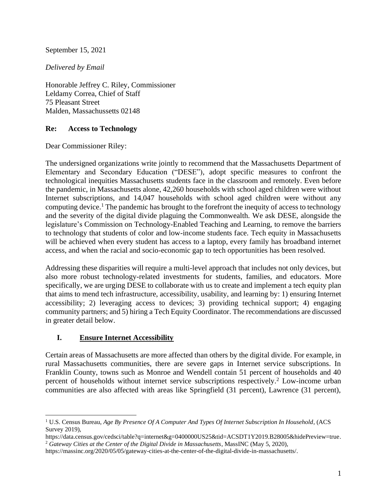### September 15, 2021

### *Delivered by Email*

Honorable Jeffrey C. Riley, Commissioner Leldamy Correa, Chief of Staff 75 Pleasant Street Malden, Massachussetts 02148

### **Re: Access to Technology**

Dear Commissioner Riley:

The undersigned organizations write jointly to recommend that the Massachusetts Department of Elementary and Secondary Education ("DESE"), adopt specific measures to confront the technological inequities Massachusetts students face in the classroom and remotely. Even before the pandemic, in Massachusetts alone, 42,260 households with school aged children were without Internet subscriptions, and 14,047 households with school aged children were without any computing device. <sup>1</sup> The pandemic has brought to the forefront the inequity of access to technology and the severity of the digital divide plaguing the Commonwealth. We ask DESE, alongside the legislature's Commission on Technology-Enabled Teaching and Learning, to remove the barriers to technology that students of color and low-income students face. Tech equity in Massachusetts will be achieved when every student has access to a laptop, every family has broadband internet access, and when the racial and socio-economic gap to tech opportunities has been resolved.

Addressing these disparities will require a multi-level approach that includes not only devices, but also more robust technology-related investments for students, families, and educators. More specifically, we are urging DESE to collaborate with us to create and implement a tech equity plan that aims to mend tech infrastructure, accessibility, usability, and learning by: 1) ensuring Internet accessibility; 2) leveraging access to devices; 3) providing technical support; 4) engaging community partners; and 5) hiring a Tech Equity Coordinator. The recommendations are discussed in greater detail below.

### **I. Ensure Internet Accessibility**

Certain areas of Massachusetts are more affected than others by the digital divide. For example, in rural Massachusetts communities, there are severe gaps in Internet service subscriptions. In Franklin County, towns such as Monroe and Wendell contain 51 percent of households and 40 percent of households without internet service subscriptions respectively.<sup>2</sup> Low-income urban communities are also affected with areas like Springfield (31 percent), Lawrence (31 percent),

<sup>1</sup> U.S. Census Bureau, *Age By Presence Of A Computer And Types Of Internet Subscription In Household*, (ACS Survey 2019),

https://data.census.gov/cedsci/table?q=internet&g=0400000US25&tid=ACSDT1Y2019.B28005&hidePreview=true. <sup>2</sup> *Gateway Cities at the Center of the Digital Divide in Massachusetts*, MassINC (May 5, 2020),

https://massinc.org/2020/05/05/gateway-cities-at-the-center-of-the-digital-divide-in-massachusetts/.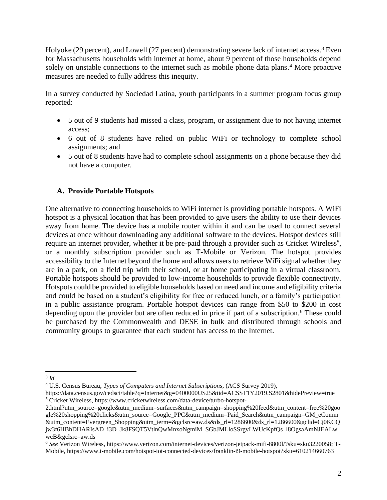Holyoke (29 percent), and Lowell (27 percent) demonstrating severe lack of internet access.<sup>3</sup> Even for Massachusetts households with internet at home, about 9 percent of those households depend solely on unstable connections to the internet such as mobile phone data plans.<sup>4</sup> More proactive measures are needed to fully address this inequity.

In a survey conducted by Sociedad Latina, youth participants in a summer program focus group reported:

- 5 out of 9 students had missed a class, program, or assignment due to not having internet access;
- 6 out of 8 students have relied on public WiFi or technology to complete school assignments; and
- 5 out of 8 students have had to complete school assignments on a phone because they did not have a computer.

### **A. Provide Portable Hotspots**

One alternative to connecting households to WiFi internet is providing portable hotspots. A WiFi hotspot is a physical location that has been provided to give users the ability to use their devices away from home. The device has a mobile router within it and can be used to connect several devices at once without downloading any additional software to the devices. Hotspot devices still require an internet provider, whether it be pre-paid through a provider such as Cricket Wireless<sup>5</sup>, or a monthly subscription provider such as T-Mobile or Verizon. The hotspot provides accessibility to the Internet beyond the home and allows users to retrieve WiFi signal whether they are in a park, on a field trip with their school, or at home participating in a virtual classroom. Portable hotspots should be provided to low-income households to provide flexible connectivity. Hotspots could be provided to eligible households based on need and income and eligibility criteria and could be based on a student's eligibility for free or reduced lunch, or a family's participation in a public assistance program. Portable hotspot devices can range from \$50 to \$200 in cost depending upon the provider but are often reduced in price if part of a subscription.<sup>6</sup> These could be purchased by the Commonwealth and DESE in bulk and distributed through schools and community groups to guarantee that each student has access to the Internet.

<sup>3</sup> *Id.* 

<sup>4</sup> U.S. Census Bureau, *Types of Computers and Internet Subscriptions*, (ACS Survey 2019),

https://data.census.gov/cedsci/table?q=Internet&g=0400000US25&tid=ACSST1Y2019.S2801&hidePreview=true <sup>5</sup> Cricket Wireless, https://www.cricketwireless.com/data-device/turbo-hotspot-

<sup>2.</sup>html?utm\_source=google&utm\_medium=surfaces&utm\_campaign=shopping%20feed&utm\_content=free%20goo gle%20shopping%20clicks&utm\_source=Google\_PPC&utm\_medium=Paid\_Search&utm\_campaign=GM\_eComm &utm\_content=Evergreen\_Shopping&utm\_term=&gclsrc=aw.ds&ds\_rl=1286600&ds\_rl=1286600&gclid=Cj0KCQ jw3f6HBhDHARIsAD\_i3D\_Jk8FSQT5VtlnQwMnxoNgmiM\_SGbJMLloSSrgvLWUcKpfQs\_l8OgsaAmNJEALw\_ wcB&gclsrc=aw.ds

<sup>6</sup> *See* Verizon Wireless*,* https://www.verizon.com/internet-devices/verizon-jetpack-mifi-8800l/?sku=sku3220058; T-Mobile, https://www.t-mobile.com/hotspot-iot-connected-devices/franklin-t9-mobile-hotspot?sku=610214660763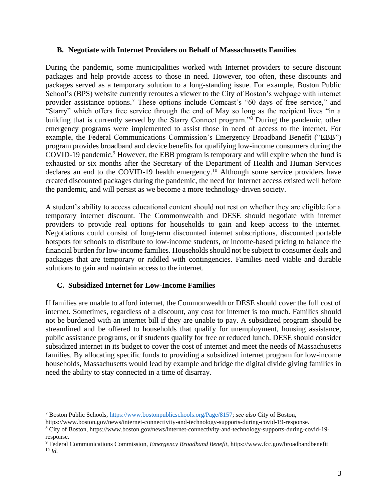#### **B. Negotiate with Internet Providers on Behalf of Massachusetts Families**

During the pandemic, some municipalities worked with Internet providers to secure discount packages and help provide access to those in need. However, too often, these discounts and packages served as a temporary solution to a long-standing issue. For example, Boston Public School's (BPS) website currently reroutes a viewer to the City of Boston's webpage with internet provider assistance options.<sup>7</sup> These options include Comcast's "60 days of free service," and "Starry" which offers free service through the end of May so long as the recipient lives "in a building that is currently served by the Starry Connect program."<sup>8</sup> During the pandemic, other emergency programs were implemented to assist those in need of access to the internet. For example, the Federal Communications Commission's Emergency Broadband Benefit ("EBB") program provides broadband and device benefits for qualifying low-income consumers during the COVID-19 pandemic.<sup>9</sup> However, the EBB program is temporary and will expire when the fund is exhausted or six months after the Secretary of the Department of Health and Human Services declares an end to the COVID-19 health emergency.<sup>10</sup> Although some service providers have created discounted packages during the pandemic, the need for Internet access existed well before the pandemic, and will persist as we become a more technology-driven society.

A student's ability to access educational content should not rest on whether they are eligible for a temporary internet discount. The Commonwealth and DESE should negotiate with internet providers to provide real options for households to gain and keep access to the internet. Negotiations could consist of long-term discounted internet subscriptions, discounted portable hotspots for schools to distribute to low-income students, or income-based pricing to balance the financial burden for low-income families. Households should not be subject to consumer deals and packages that are temporary or riddled with contingencies. Families need viable and durable solutions to gain and maintain access to the internet.

### **C. Subsidized Internet for Low-Income Families**

If families are unable to afford internet, the Commonwealth or DESE should cover the full cost of internet. Sometimes, regardless of a discount, any cost for internet is too much. Families should not be burdened with an internet bill if they are unable to pay. A subsidized program should be streamlined and be offered to households that qualify for unemployment, housing assistance, public assistance programs, or if students qualify for free or reduced lunch. DESE should consider subsidized internet in its budget to cover the cost of internet and meet the needs of Massachusetts families. By allocating specific funds to providing a subsidized internet program for low-income households, Massachusetts would lead by example and bridge the digital divide giving families in need the ability to stay connected in a time of disarray.

<sup>7</sup> Boston Public Schools, [https://www.bostonpublicschools.org/Page/8157;](https://www.bostonpublicschools.org/Page/8157) *see also* City of Boston,

https://www.boston.gov/news/internet-connectivity-and-technology-supports-during-covid-19-response.

<sup>8</sup> City of Boston, https://www.boston.gov/news/internet-connectivity-and-technology-supports-during-covid-19 response.

<sup>9</sup> Federal Communications Commission, *Emergency Broadband Benefit,* https://www.fcc.gov/broadbandbenefit  $10 \, Id.$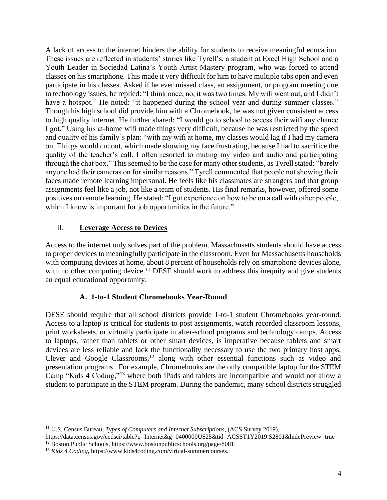A lack of access to the internet hinders the ability for students to receive meaningful education. These issues are reflected in students' stories like Tyrell's, a student at Excel High School and a Youth Leader in Sociedad Latina's Youth Artist Mastery program, who was forced to attend classes on his smartphone. This made it very difficult for him to have multiple tabs open and even participate in his classes. Asked if he ever missed class, an assignment, or program meeting due to technology issues, he replied: "I think once; no, it was two times. My wifi went out, and I didn't have a hotspot." He noted: "it happened during the school year and during summer classes." Though his high school did provide him with a Chromebook, he was not given consistent access to high quality internet. He further shared: "I would go to school to access their wifi any chance I got." Using his at-home wifi made things very difficult, because he was restricted by the speed and quality of his family's plan: "with my wifi at home, my classes would lag if I had my camera on. Things would cut out, which made showing my face frustrating, because I had to sacrifice the quality of the teacher's call. I often resorted to muting my video and audio and participating through the chat box." This seemed to be the case for many other students, as Tyrell stated: "barely anyone had their cameras on for similar reasons." Tyrell commented that people not showing their faces made remote learning impersonal. He feels like his classmates are strangers and that group assignments feel like a job, not like a team of students. His final remarks, however, offered some positives on remote learning. He stated: "I got experience on how to be on a call with other people, which I know is important for job opportunities in the future."

### II. **Leverage Access to Devices**

Access to the internet only solves part of the problem. Massachusetts students should have access to proper devices to meaningfully participate in the classroom. Even for Massachusetts households with computing devices at home, about 8 percent of households rely on smartphone devices alone, with no other computing device.<sup>11</sup> DESE should work to address this inequity and give students an equal educational opportunity.

### **A. 1-to-1 Student Chromebooks Year-Round**

DESE should require that all school districts provide 1-to-1 student Chromebooks year-round. Access to a laptop is critical for students to post assignments, watch recorded classroom lessons, print worksheets, or virtually participate in after-school programs and technology camps. Access to laptops, rather than tablets or other smart devices, is imperative because tablets and smart devices are less reliable and lack the functionality necessary to use the two primary host apps, Clever and Google Classrooms, <sup>12</sup> along with other essential functions such as video and presentation programs. For example, Chromebooks are the only compatible laptop for the STEM Camp "Kids 4 Coding,"<sup>13</sup> where both iPads and tablets are incompatible and would not allow a student to participate in the STEM program. During the pandemic, many school districts struggled

<sup>11</sup> U.S. Census Bureau, *Types of Computers and Internet Subscriptions*, (ACS Survey 2019),

https://data.census.gov/cedsci/table?q=Internet&g=0400000US25&tid=ACSST1Y2019.S2801&hidePreview=true <sup>12</sup> Boston Public Schools, https://www.bostonpublicschools.org/page/8081.

<sup>13</sup> *Kids 4 Coding,* https://www.kids4coding.com/virtual-summercourses.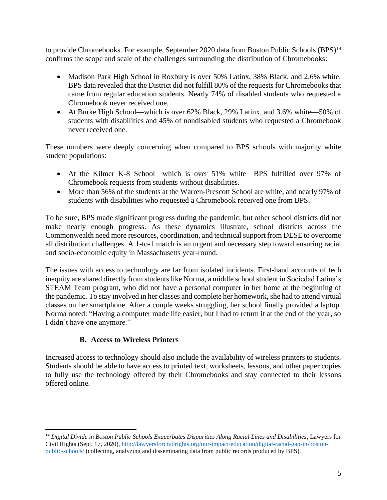to provide Chromebooks. For example, September 2020 data from Boston Public Schools (BPS)<sup>14</sup> confirms the scope and scale of the challenges surrounding the distribution of Chromebooks:

- Madison Park High School in Roxbury is over 50% Latinx, 38% Black, and 2.6% white. BPS data revealed that the District did not fulfill 80% of the requests for Chromebooks that came from regular education students. Nearly 74% of disabled students who requested a Chromebook never received one.
- At Burke High School—which is over 62% Black, 29% Latinx, and 3.6% white—50% of students with disabilities and 45% of nondisabled students who requested a Chromebook never received one.

These numbers were deeply concerning when compared to BPS schools with majority white student populations:

- At the Kilmer K-8 School—which is over 51% white—BPS fulfilled over 97% of Chromebook requests from students without disabilities.
- More than 56% of the students at the Warren-Prescott School are white, and nearly 97% of students with disabilities who requested a Chromebook received one from BPS.

To be sure, BPS made significant progress during the pandemic, but other school districts did not make nearly enough progress. As these dynamics illustrate, school districts across the Commonwealth need more resources, coordination, and technical support from DESE to overcome all distribution challenges. A 1-to-1 match is an urgent and necessary step toward ensuring racial and socio-economic equity in Massachusetts year-round.

The issues with access to technology are far from isolated incidents. First-hand accounts of tech inequity are shared directly from students like Norma, a middle school student in Sociedad Latina's STEAM Team program, who did not have a personal computer in her home at the beginning of the pandemic. To stay involved in her classes and complete her homework, she had to attend virtual classes on her smartphone. After a couple weeks struggling, her school finally provided a laptop. Norma noted: "Having a computer made life easier, but I had to return it at the end of the year, so I didn't have one anymore."

## **B. Access to Wireless Printers**

Increased access to technology should also include the availability of wireless printers to students. Students should be able to have access to printed text, worksheets, lessons, and other paper copies to fully use the technology offered by their Chromebooks and stay connected to their lessons offered online.

<sup>14</sup> *Digital Divide in Boston Public Schools Exacerbates Disparities Along Racial Lines and Disabilities*, Lawyers for Civil Rights (Sept. 17, 2020), [http://lawyersforcivilrights.org/our-impact/education/digital-racial-gap-in-boston](http://lawyersforcivilrights.org/our-impact/education/digital-racial-gap-in-boston-public-schools/)[public-schools/](http://lawyersforcivilrights.org/our-impact/education/digital-racial-gap-in-boston-public-schools/) (collecting, analyzing and disseminating data from public records produced by BPS).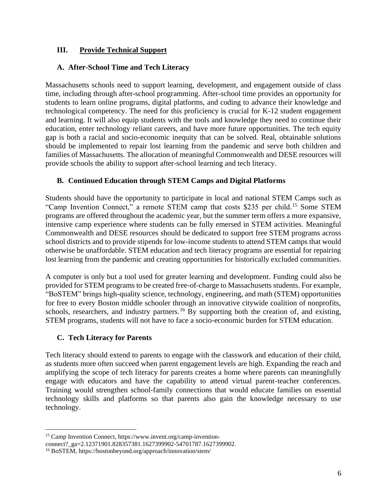### **III. Provide Technical Support**

### **A. After-School Time and Tech Literacy**

Massachusetts schools need to support learning, development, and engagement outside of class time, including through after-school programming. After-school time provides an opportunity for students to learn online programs, digital platforms, and coding to advance their knowledge and technological competency. The need for this proficiency is crucial for K-12 student engagement and learning. It will also equip students with the tools and knowledge they need to continue their education, enter technology reliant careers, and have more future opportunities. The tech equity gap is both a racial and socio-economic inequity that can be solved. Real, obtainable solutions should be implemented to repair lost learning from the pandemic and serve both children and families of Massachusetts. The allocation of meaningful Commonwealth and DESE resources will provide schools the ability to support after-school learning and tech literacy.

### **B. Continued Education through STEM Camps and Digital Platforms**

Students should have the opportunity to participate in local and national STEM Camps such as "Camp Invention Connect," a remote STEM camp that costs \$235 per child.<sup>15</sup> Some STEM programs are offered throughout the academic year, but the summer term offers a more expansive, intensive camp experience where students can be fully emersed in STEM activities. Meaningful Commonwealth and DESE resources should be dedicated to support free STEM programs across school districts and to provide stipends for low-income students to attend STEM camps that would otherwise be unaffordable. STEM education and tech literacy programs are essential for repairing lost learning from the pandemic and creating opportunities for historically excluded communities.

A computer is only but a tool used for greater learning and development. Funding could also be provided for STEM programs to be created free-of-charge to Massachusetts students. For example, "BoSTEM" brings high-quality science, technology, engineering, and math (STEM) opportunities for free to every Boston middle schooler through an innovative citywide coalition of nonprofits, schools, researchers, and industry partners.<sup>16</sup> By supporting both the creation of, and existing, STEM programs, students will not have to face a socio-economic burden for STEM education.

### **C. Tech Literacy for Parents**

Tech literacy should extend to parents to engage with the classwork and education of their child, as students more often succeed when parent engagement levels are high. Expanding the reach and amplifying the scope of tech literacy for parents creates a home where parents can meaningfully engage with educators and have the capability to attend virtual parent-teacher conferences. Training would strengthen school-family connections that would educate families on essential technology skills and platforms so that parents also gain the knowledge necessary to use technology.

<sup>15</sup> Camp Invention Connect, https://www.invent.org/camp-inventionconnect?\_ga=2.12371901.828357381.1627399902-54701787.1627399902.

<sup>16</sup> BoSTEM, https://bostonbeyond.org/approach/innovation/stem/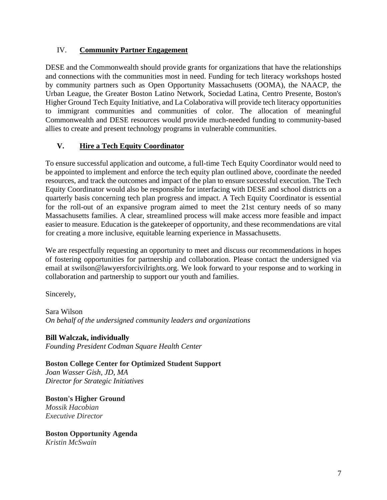### IV. **Community Partner Engagement**

DESE and the Commonwealth should provide grants for organizations that have the relationships and connections with the communities most in need. Funding for tech literacy workshops hosted by community partners such as Open Opportunity Massachusetts (OOMA), the NAACP, the Urban League, the Greater Boston Latino Network, Sociedad Latina, Centro Presente, Boston's Higher Ground Tech Equity Initiative, and La Colaborativa will provide tech literacy opportunities to immigrant communities and communities of color. The allocation of meaningful Commonwealth and DESE resources would provide much-needed funding to community-based allies to create and present technology programs in vulnerable communities.

## **V. Hire a Tech Equity Coordinator**

To ensure successful application and outcome, a full-time Tech Equity Coordinator would need to be appointed to implement and enforce the tech equity plan outlined above, coordinate the needed resources, and track the outcomes and impact of the plan to ensure successful execution. The Tech Equity Coordinator would also be responsible for interfacing with DESE and school districts on a quarterly basis concerning tech plan progress and impact. A Tech Equity Coordinator is essential for the roll-out of an expansive program aimed to meet the 21st century needs of so many Massachusetts families. A clear, streamlined process will make access more feasible and impact easier to measure. Education is the gatekeeper of opportunity, and these recommendations are vital for creating a more inclusive, equitable learning experience in Massachusetts.

We are respectfully requesting an opportunity to meet and discuss our recommendations in hopes of fostering opportunities for partnership and collaboration. Please contact the undersigned via email at swilson@lawyersforcivilrights.org. We look forward to your response and to working in collaboration and partnership to support our youth and families.

Sincerely,

Sara Wilson *On behalf of the undersigned community leaders and organizations*

**Bill Walczak, individually** *Founding President Codman Square Health Center*

**Boston College Center for Optimized Student Support** *Joan Wasser Gish, JD, MA Director for Strategic Initiatives*

**Boston's Higher Ground** *Mossik Hacobian Executive Director*

**Boston Opportunity Agenda** *Kristin McSwain*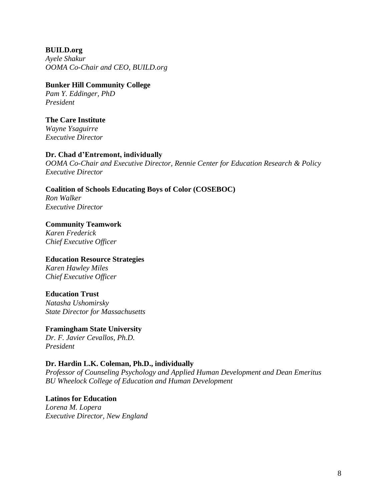**BUILD.org** *Ayele Shakur OOMA Co-Chair and CEO, BUILD.org*

# **Bunker Hill Community College**

*Pam Y. Eddinger, PhD President*

### **The Care Institute**

*Wayne Ysaguirre Executive Director*

### **Dr. Chad d'Entremont, individually**

*OOMA Co-Chair and Executive Director, Rennie Center for Education Research & Policy Executive Director*

### **Coalition of Schools Educating Boys of Color (COSEBOC)**

*Ron Walker Executive Director*

**Community Teamwork** *Karen Frederick Chief Executive Officer*

## **Education Resource Strategies**

*Karen Hawley Miles Chief Executive Officer*

### **Education Trust**

*Natasha Ushomirsky State Director for Massachusetts*

## **Framingham State University**

*Dr. F. Javier Cevallos, Ph.D. President*

### **Dr. Hardin L.K. Coleman, Ph.D., individually**

*Professor of Counseling Psychology and Applied Human Development and Dean Emeritus BU Wheelock College of Education and Human Development*

### **Latinos for Education**

*Lorena M. Lopera Executive Director, New England*